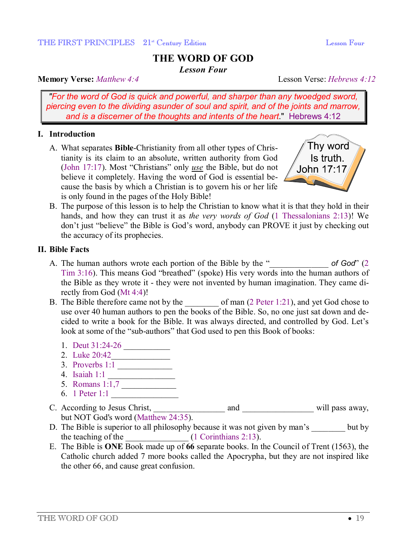# **THE WORD OF GOD**

*Lesson Four* 

#### **Memory Verse:** *Matthew 4:4* Lesson Verse: *Hebrews 4:12*

*"For the word of God is quick and powerful, and sharper than any twoedged sword, piercing even to the dividing asunder of soul and spirit, and of the joints and marrow, and is a discerner of the thoughts and intents of the heart*." Hebrews 4:12

## **I. Introduction**

A. What separates **Bible**-Christianity from all other types of Christianity is its claim to an absolute, written authority from God (John 17:17). Most "Christians" only *use* the Bible, but do not believe it completely. Having the word of God is essential because the basis by which a Christian is to govern his or her life is only found in the pages of the Holy Bible!



B. The purpose of this lesson is to help the Christian to know what it is that they hold in their hands, and how they can trust it as *the very words of God* (1 Thessalonians 2:13)! We don't just "believe" the Bible is God's word, anybody can PROVE it just by checking out the accuracy of its prophecies.

#### **II. Bible Facts**

- A. The human authors wrote each portion of the Bible by the "\_\_\_\_\_\_\_\_\_\_\_\_\_\_ *of God*" (2 Tim 3:16). This means God "breathed" (spoke) His very words into the human authors of the Bible as they wrote it - they were not invented by human imagination. They came directly from God (Mt 4:4)!
- B. The Bible therefore came not by the of man (2 Peter 1:21), and yet God chose to use over 40 human authors to pen the books of the Bible. So, no one just sat down and decided to write a book for the Bible. It was always directed, and controlled by God. Let's look at some of the "sub-authors" that God used to pen this Book of books:
	- 1. Deut 31:24-26
	- 2. Luke 20:42\_\_\_\_\_\_\_\_\_\_\_\_\_\_
	- 3. Proverbs 1:1
	- 4. Isaiah 1:1 \_\_\_\_\_\_\_\_\_\_\_\_\_\_\_\_
	- 5. Romans 1:1,7
	- 6. 1 Peter 1:1 \_\_\_\_\_\_\_\_\_\_\_\_\_\_\_\_
- C. According to Jesus Christ, \_\_\_\_\_\_\_\_\_\_\_\_\_\_\_\_\_ and \_\_\_\_\_\_\_\_\_\_\_\_\_\_\_\_\_ will pass away, but NOT God's word (Matthew 24:35).
- D. The Bible is superior to all philosophy because it was not given by man's but by the teaching of the  $(1$  Corinthians 2:13).
- E. The Bible is **ONE** Book made up of **66** separate books. In the Council of Trent (1563), the Catholic church added 7 more books called the Apocrypha, but they are not inspired like the other 66, and cause great confusion.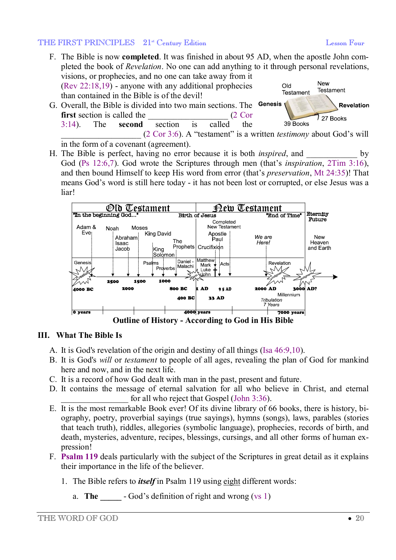#### THE FIRST PRINCIPLES  $21^{\text{st}}$  Century Edition Lesson Four Lesson Four

- F. The Bible is now **completed**. It was finished in about 95 AD, when the apostle John completed the book of *Revelation*. No one can add anything to it through personal revelations, visions, or prophecies, and no one can take away from it New (Rev 22:18,19) - anyone with any additional prophecies **DIO Testament** Testament than contained in the Bible is of the devil!
- G. Overall, the Bible is divided into two main sections. The Genesis **Revelation first** section is called the  $(2 \text{ Corr})$ 27 Books 3:14). The **second** section is called the 39 Books \_\_\_\_\_\_\_\_\_\_\_\_\_\_\_\_\_\_\_ (2 Cor 3:6). A "testament" is a written *testimony* about God's will

in the form of a covenant (agreement).

H. The Bible is perfect, having no error because it is both *inspired*, and by God (Ps 12:6,7). God wrote the Scriptures through men (that's *inspiration*, 2Tim 3:16), and then bound Himself to keep His word from error (that's *preservation*, Mt 24:35)! That means God's word is still here today - it has not been lost or corrupted, or else Jesus was a liar!



## **III. What The Bible Is**

- A. It is God's revelation of the origin and destiny of all things (Isa 46:9,10).
- B. It is God's *will* or *testament* to people of all ages, revealing the plan of God for mankind here and now, and in the next life.
- C. It is a record of how God dealt with man in the past, present and future.
- D. It contains the message of eternal salvation for all who believe in Christ, and eternal for all who reject that Gospel (John  $3:36$ ).
- E. It is the most remarkable Book ever! Of its divine library of 66 books, there is history, biography, poetry, proverbial sayings (true sayings), hymns (songs), laws, parables (stories that teach truth), riddles, allegories (symbolic language), prophecies, records of birth, and death, mysteries, adventure, recipes, blessings, cursings, and all other forms of human expression!
- F. **Psalm 119** deals particularly with the subject of the Scriptures in great detail as it explains their importance in the life of the believer.
	- 1. The Bible refers to *itself* in Psalm 119 using eight different words:
		- a. **The -** God's definition of right and wrong (vs 1)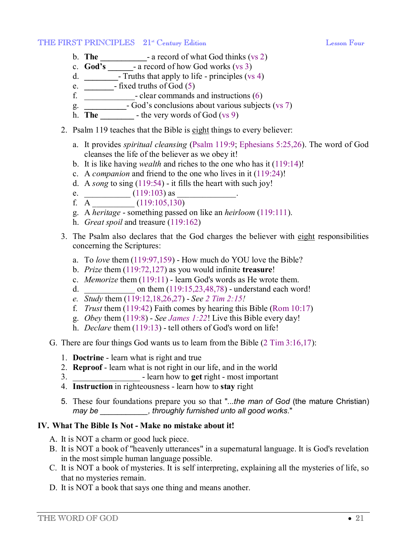#### THE FIRST PRINCIPLES  $21^{\text{st}}$  Century Edition Lesson Four

- b. **The \_\_\_\_\_\_\_\_\_\_\_** a record of what God thinks (vs 2)
- c. **God's \_\_\_\_\_\_** a record of how God works (vs 3)
- d. **\_\_\_\_\_\_\_\_** Truths that apply to life principles (vs 4)
- e. **\_\_\_\_\_\_\_** fixed truths of God (5)
- f. \_\_\_\_\_\_\_\_\_\_\_\_- clear commands and instructions (6)
- g. **\_\_\_\_\_\_\_\_\_\_** God's conclusions about various subjects (vs 7)
- h. **The**  $\qquad$  the very words of God (vs 9)
- 2. Psalm 119 teaches that the Bible is eight things to every believer:
	- a. It provides *spiritual cleansing* (Psalm 119:9; Ephesians 5:25,26). The word of God cleanses the life of the believer as we obey it!
	- b. It is like having *wealth* and riches to the one who has it (119:14)!
	- c. A *companion* and friend to the one who lives in it (119:24)!
	- d. A *song* to sing (119:54) it fills the heart with such joy!
	- e.  $\frac{1}{2}$  (119:103) as
	- f.  $\overline{A}$  (119:105,130)
	- g. A *heritage* something passed on like an *heirloom* (119:111).
	- h. *Great spoil* and treasure (119:162)
- 3. The Psalm also declares that the God charges the believer with eight responsibilities concerning the Scriptures:
	- a. To *love* them (119:97,159) How much do YOU love the Bible?
	- b. *Prize* them (119:72,127) as you would infinite **treasure**!
	- c. *Memorize* them (119:11) learn God's words as He wrote them.
	- d.  $\omega$  on them  $(119:15,23,48,78)$  understand each word!
	- *e. Study* them (119:12,18,26,27) *See 2 Tim 2:15!*
	- f. *Trust* them (119:42) Faith comes by hearing this Bible (Rom 10:17)
	- g. *Obey* them (119:8) *See James 1:22*! Live this Bible every day!
	- h. *Declare* them (119:13) tell others of God's word on life!
- G. There are four things God wants us to learn from the Bible (2 Tim 3:16,17):
	- 1. **Doctrine** learn what is right and true
	- 2. **Reproof** learn what is not right in our life, and in the world
	- 3. \_\_\_\_\_\_\_\_\_\_\_\_\_\_\_\_ learn how to **get** right most important
	- 4. **Instruction** in righteousness learn how to **stay** right
	- 5. These four foundations prepare you so that "...*the man of God* (the mature Christian) *may be \_\_\_\_\_\_\_\_\_\_\_, throughly furnished unto all good works.*"

# **IV. What The Bible Is Not - Make no mistake about it!**

- A. It is NOT a charm or good luck piece.
- B. It is NOT a book of "heavenly utterances" in a supernatural language. It is God's revelation in the most simple human language possible.
- C. It is NOT a book of mysteries. It is self interpreting, explaining all the mysteries of life, so that no mysteries remain.
- D. It is NOT a book that says one thing and means another.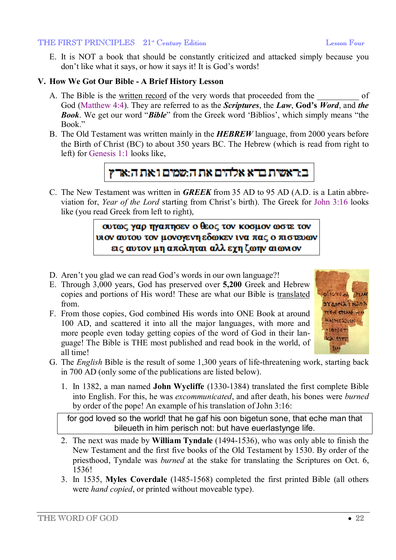#### THE FIRST PRINCIPLES 21<sup>st</sup> Century Edition Lesson Four

E. It is NOT a book that should be constantly criticized and attacked simply because you don't like what it says, or how it says it! It is God's words!

## **V. How We Got Our Bible - A Brief History Lesson**

- A. The Bible is the written record of the very words that proceeded from the of God (Matthew 4:4). They are referred to as the *Scriptures*, the *Law*, **God's** *Word*, and *the Book*. We get our word "*Bible*" from the Greek word 'Biblios', which simply means "the Book"
- B. The Old Testament was written mainly in the *HEBREW* language, from 2000 years before the Birth of Christ (BC) to about 350 years BC. The Hebrew (which is read from right to left) for Genesis 1:1 looks like,



C. The New Testament was written in *GREEK* from 35 AD to 95 AD (A.D. is a Latin abbreviation for, *Year of the Lord* starting from Christ's birth). The Greek for John 3:16 looks like (you read Greek from left to right),

> ουτως γαρ πγαπησεν ο θεος τον κοσμον ωστε τον υιον αυτου τον μονογενη εδωκεν ινα πας ο πιστευων εις αυτον μη αποληται αλλ εγη ζωην αιωνιον

- D. Aren't you glad we can read God's words in our own language?!
- E. Through 3,000 years, God has preserved over **5,200** Greek and Hebrew copies and portions of His word! These are what our Bible is translated from.
- F. From those copies, God combined His words into ONE Book at around 100 AD, and scattered it into all the major languages, with more and more people even today getting copies of the word of God in their language! The Bible is THE most published and read book in the world, of all time!



- G. The *English* Bible is the result of some 1,300 years of life-threatening work, starting back in 700 AD (only some of the publications are listed below).
	- 1. In 1382, a man named **John Wycliffe** (1330-1384) translated the first complete Bible into English. For this, he was *excommunicated*, and after death, his bones were *burned* by order of the pope! An example of his translation of John 3:16:

for god loved so the world! that he gaf his oon bigetun sone, that eche man that bileueth in him perisch not: but have euerlastynge life.

- 2. The next was made by **William Tyndale** (1494-1536), who was only able to finish the New Testament and the first five books of the Old Testament by 1530. By order of the priesthood, Tyndale was *burned* at the stake for translating the Scriptures on Oct. 6, 1536!
- 3. In 1535, **Myles Coverdale** (1485-1568) completed the first printed Bible (all others were *hand copied*, or printed without moveable type).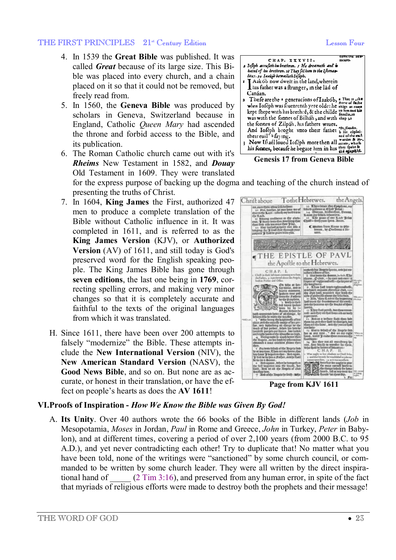#### THE FIRST PRINCIPLES  $21^{\text{st}}$  Century Edition Lesson Four

- 4. In 1539 the **Great Bible** was published. It was called *Great* because of its large size. This Bible was placed into every church, and a chain placed on it so that it could not be removed, but freely read from.
- 5. In 1560, the **Geneva Bible** was produced by scholars in Geneva, Switzerland because in England, Catholic *Queen Mary* had ascended the throne and forbid access to the Bible, and its publication.
- 6. The Roman Catholic church came out with it's *Rheims* New Testament in 1582, and *Douay* Old Testament in 1609. They were translated for the express purpose of backing up the dogma and teaching of the church instead of
- presenting the truths of Christ. 7. In 1604, **King James** the First, authorized 47 men to produce a complete translation of the Bible without Catholic influence in it. It was completed in 1611, and is referred to as the **King James Version** (KJV), or **Authorized Version** (AV) of 1611, and still today is God's preserved word for the English speaking people. The King James Bible has gone through **seven editions**, the last one being in **1769**, correcting spelling errors, and making very minor changes so that it is completely accurate and faithful to the texts of the original languages from which it was translated.
- H. Since 1611, there have been over 200 attempts to falsely "modernize" the Bible. These attempts include the **New International Version** (NIV), the **New American Standard Version** (NASV), the **Good News Bible**, and so on. But none are as accurate, or honest in their translation, or have the effect on people's hearts as does the **AV 1611**!



**Genesis 17 from Geneva Bible** 

TotheHebrewes. Chrift aboue the Angels. The absorber of the Contract of the Contract of the Contract of the Contract of the Contract of the Contract of the Contract of the Contract of the Contract of the Contract of the Contract of the Contract of the Contract o nor en thy abetsi-<br>ec.hnotologithar  $\mathcal{L}$  ratio is to thee American that<br>it must then B fay.<br>all perpace river allo a<br>sall that theosath your<br>is mainted to you. € moitm from Kome to 90 THE EPISTLE OF PAVL the Apoftle to the Hebrewes. CHAP. L Ob tabo at fan du of the Noorte fam .<br>Ne Yeards by Daith : 1000 **Page from KJV 1611** 

## **VI.Proofs of Inspiration -** *How We Know the Bible was Given By God!*

A. **Its Unity**. Over 40 authors wrote the 66 books of the Bible in different lands (*Job* in Mesopotamia, *Moses* in Jordan, *Paul* in Rome and Greece, *John* in Turkey, *Peter* in Babylon), and at different times, covering a period of over 2,100 years (from 2000 B.C. to 95 A.D.), and yet never contradicting each other! Try to duplicate that! No matter what you have been told, none of the writings were "sanctioned" by some church council, or commanded to be written by some church leader. They were all written by the direct inspirational hand of  $(2 \text{ Tim } 3:16)$ , and preserved from any human error, in spite of the fact that myriads of religious efforts were made to destroy both the prophets and their message!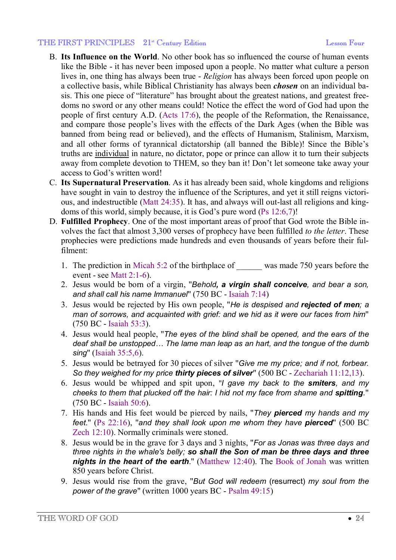#### THE FIRST PRINCIPLES  $21^{\text{st}}$  Century Edition Lesson Four

- B. **Its Influence on the World**. No other book has so influenced the course of human events like the Bible - it has never been imposed upon a people. No matter what culture a person lives in, one thing has always been true - *Religion* has always been forced upon people on a collective basis, while Biblical Christianity has always been *chosen* on an individual basis. This one piece of "literature" has brought about the greatest nations, and greatest freedoms no sword or any other means could! Notice the effect the word of God had upon the people of first century A.D. (Acts 17:6), the people of the Reformation, the Renaissance, and compare those people's lives with the effects of the Dark Ages (when the Bible was banned from being read or believed), and the effects of Humanism, Stalinism, Marxism, and all other forms of tyrannical dictatorship (all banned the Bible)! Since the Bible's truths are individual in nature, no dictator, pope or prince can allow it to turn their subjects away from complete devotion to THEM, so they ban it! Don't let someone take away your access to God's written word!
- C. **Its Supernatural Preservation**. As it has already been said, whole kingdoms and religions have sought in vain to destroy the influence of the Scriptures, and yet it still reigns victorious, and indestructible (Matt 24:35). It has, and always will out-last all religions and kingdoms of this world, simply because, it is God's pure word (Ps 12:6,7)!
- D. **Fulfilled Prophecy**. One of the most important areas of proof that God wrote the Bible involves the fact that almost 3,300 verses of prophecy have been fulfilled *to the letter*. These prophecies were predictions made hundreds and even thousands of years before their fulfilment:
	- 1. The prediction in Micah 5:2 of the birthplace of was made 750 years before the event - see Matt 2:1-6).
	- 2. Jesus would be born of a virgin, "*Behold, a virgin shall conceive, and bear a son, and shall call his name Immanuel*" (750 BC - Isaiah 7:14)
	- 3. Jesus would be rejected by His own people, "*He is despised and rejected of men; a man of sorrows, and acquainted with grief: and we hid as it were our faces from him*" (750 BC - Isaiah 53:3).
	- 4. Jesus would heal people, "*The eyes of the blind shall be opened, and the ears of the deaf shall be unstopped… The lame man leap as an hart, and the tongue of the dumb sing*" (Isaiah 35:5,6).
	- 5. Jesus would be betrayed for 30 pieces of silver "*Give me my price; and if not, forbear. So they weighed for my price thirty pieces of silver*" (500 BC - Zechariah 11:12,13).
	- 6. Jesus would be whipped and spit upon, "*I gave my back to the smiters, and my cheeks to them that plucked off the hair: I hid not my face from shame and spitting.*" (750 BC - Isaiah 50:6).
	- 7. His hands and His feet would be pierced by nails, "*They pierced my hands and my feet*." (Ps 22:16), "*and they shall look upon me whom they have pierced*" (500 BC Zech 12:10). Normally criminals were stoned.
	- 8. Jesus would be in the grave for 3 days and 3 nights, "*For as Jonas was three days and three nights in the whale's belly; so shall the Son of man be three days and three nights in the heart of the earth*." (Matthew 12:40). The Book of Jonah was written 850 years before Christ.
	- 9. Jesus would rise from the grave, "*But God will redeem* (resurrect) *my soul from the power of the grave*" (written 1000 years BC - Psalm 49:15)